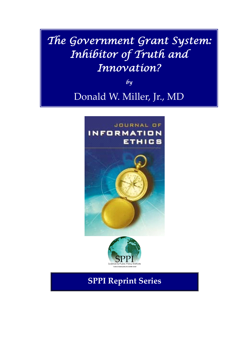# The Government Grant System: Inhibitor of Truth and Innovation?

 $b<sub>y</sub>$ 

### Donald W. Miller, Jr., MD





**SPPI Reprint Series**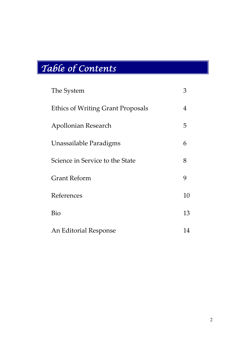# Table of Contents

| The System                               | 3              |
|------------------------------------------|----------------|
| <b>Ethics of Writing Grant Proposals</b> | $\overline{4}$ |
| Apollonian Research                      | 5              |
| Unassailable Paradigms                   | 6              |
| Science in Service to the State          | 8              |
| <b>Grant Reform</b>                      | 9              |
| References                               | 10             |
| Bio                                      | 13             |
| An Editorial Response                    | 14             |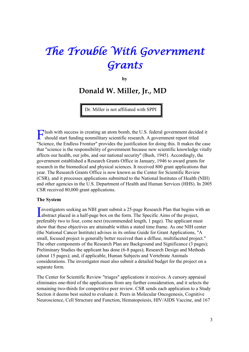## The Trouble With Government Grants

**by**

### **Donald W. Miller, Jr., MDonald W. Miller, Jr., MD**

Dr. Miller is not affiliated with SPPI

lush with success in creating an atom bomb, the U.S. federal government decided it Flush with success in creating an atom bomb, the U.S. federal government decide<br>should start funding nonmilitary scientific research. A government report titled "Science, the Endless Frontier" provides the justification for doing this. It makes the case that "science is the responsibility of government because new scientific knowledge vitally affects our health, our jobs, and our national security" (Bush, 1945). Accordingly, the government established a Research Grants Office in January, 1946 to award grants for research in the biomedical and physical sciences. It received 800 grant applications that year. The Research Grants Office is now known as the Center for Scientific Review (CSR), and it processes applications submitted to the National Institutes of Health (NIH) and other agencies in the U.S. Department of Health and Human Services (HHS). In 2005 CSR received 80,000 grant applications.

#### **The System**

Investigators seeking an NIH grant submit a 25-page Research Plan that begins with an abstract placed in a half-page box on the form. The Specific Aims of the project, abstract placed in a half-page box on the form. The Specific Aims of the project, preferably two to four, come next (recommended length, 1 page). The applicant must show that these objectives are attainable within a stated time frame. As one NIH center (the National Cancer Institute) advises in its online Guide for Grant Applications, "A small, focused project is generally better received than a diffuse, multifaceted project." The other components of the Research Plan are Background and Significance (3 pages); Preliminary Studies the applicant has done (6-8 pages); Research Design and Methods (about 15 pages); and, if applicable, Human Subjects and Vertebrate Animals considerations. The investigator must also submit a detailed budget for the project on a separate form.

The Center for Scientific Review "triages" applications it receives. A cursory appraisal eliminates one-third of the applications from any further consideration, and it selects the remaining two-thirds for competitive peer review. CSR sends each application to a Study Section it deems best suited to evaluate it. Peers in Molecular Oncogenesis, Cognitive Neuroscience, Cell Structure and Function, Hematopoiesis, HIV/AIDS Vaccine, and 167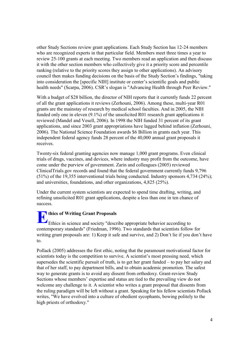other Study Sections review grant applications. Each Study Section has 12-24 members who are recognized experts in that particular field. Members meet three times a year to review 25-100 grants at each meeting. Two members read an application and then discuss it with the other section members who collectively give it a priority score and percentile ranking (relative to the priority scores they assign to other applications). An advisory council then makes funding decisions on the basis of the Study Section's findings, "taking into consideration the [specific NIH] institute or center's scientific goals and public health needs" (Scarpa, 2006). CSR's slogan is "Advancing Health through Peer Review."

With a budget of \$28 billion, the director of NIH reports that it currently funds 22 percent of all the grant applications it reviews (Zerhouni, 2006). Among these, multi-year R01 grants are the mainstay of research by medical school faculties. And in 2005, the NIH funded only one in eleven (9.1%) of the unsolicited R01 research grant applications it reviewed (Mandel and Vesell, 2006). In 1998 the NIH funded 31 percent of its grant applications, and since 2003 grant appropriations have lagged behind inflation (Zerhouni, 2006). The National Science Foundation awards \$6 Billion in grants each year. This independent federal agency funds 28 percent of the 40,000 annual grant proposals it receives.

Twenty-six federal granting agencies now manage 1,000 grant programs. Even clinical trials of drugs, vaccines, and devices, where industry may profit from the outcome, have come under the purview of government. Zarin and colleagues (2005) reviewed ClinicalTrials.gov records and found that the federal government currently funds 9,796 (51%) of the 19,355 interventional trials being conducted. Industry sponsors 4,734 (24%); and universities, foundations, and other organizations, 4,825 (25%).

Under the current system scientists are expected to spend time drafting, writing, and refining unsolicited R01 grant applications, despite a less than one in ten chance of success.

**thics of Writing Grant Proposals** Ethics of Writing Grant Proposals<br>Ethics in science and society "describe appropriate behavior according to contemporary standards" (Friedman, 1996). Two standards that scientists follow for writing grant proposals are: 1) Keep it safe and survive, and 2) Don't lie if you don't have to.

Pollack (2005) addresses the first ethic, noting that the paramount motivational factor for scientists today is the competition to survive. A scientist's most pressing need, which supersedes the scientific pursuit of truth, is to get her grant funded – to pay her salary and that of her staff, to pay department bills, and to obtain academic promotion. The safest way to generate grants is to avoid any dissent from orthodoxy. Grant-review Study Sections whose members' expertise and status are tied to the prevailing view do not welcome any challenge to it. A scientist who writes a grant proposal that dissents from the ruling paradigm will be left without a grant. Speaking for his fellow scientists Pollack writes, "We have evolved into a culture of obedient sycophants, bowing politely to the high priests of orthodoxy."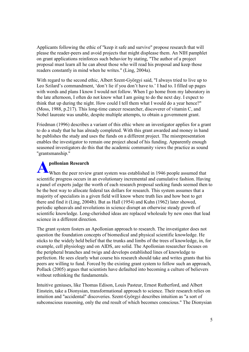Applicants following the ethic of "keep it safe and survive" propose research that will please the reader-peers and avoid projects that might displease them. An NIH pamphlet on grant applications reinforces such behavior by stating, "The author of a project proposal must learn all he can about those who will read his proposal and keep those readers constantly in mind when he writes." (Ling, 2004a).

With regard to the second ethic, Albert Szent-Györgyi said, "I always tried to live up to Leo Szilard's commandment, 'don't lie if you don't have to.' I had to. I filled up pages with words and plans I know I would not follow. When I go home from my laboratory in the late afternoon, I often do not know what I am going to do the next day. I expect to think that up during the night. How could I tell them what I would do a year hence?" (Moss, 1988, p.217). This long-time cancer researcher, discoverer of vitamin C, and Nobel laureate was unable, despite multiple attempts, to obtain a government grant.

Friedman (1996) describes a variant of this ethic where an investigator applies for a grant to do a study that he has already completed. With this grant awarded and money in hand he publishes the study and uses the funds on a different project. The misrepresentation enables the investigator to remain one project ahead of his funding. Apparently enough seasoned investigators do this that the academic community views the practice as sound "grantsmanship."

#### **pollonian Research**

When the peer review grant system was established in 1946 people assumed that scientific progress occurs in an evolutionary incremental and cumulative fashion. Having a panel of experts judge the worth of each research proposal seeking funds seemed then to be the best way to allocate federal tax dollars for research. This system assumes that a majority of specialists in a given field will know where truth lies and how best to get there and find it (Ling, 2004b). But as Hall (1954) and Kuhn (1962) later showed, periodic upheavals and revolutions in science disrupt an otherwise steady growth of scientific knowledge. Long-cherished ideas are replaced wholesale by new ones that lead science in a different direction. **A**

The grant system fosters an Apollonian approach to research. The investigator does not question the foundation concepts of biomedical and physical scientific knowledge. He sticks to the widely held belief that the trunks and limbs of the trees of knowledge, in, for example, cell physiology and on AIDS, are solid. The Apollonian researcher focuses on the peripheral branches and twigs and develops established lines of knowledge to perfection. He sees clearly what course his research should take and writes grants that his peers are willing to fund. Forced by the existing grant system to follow such an approach, Pollack (2005) argues that scientists have defaulted into becoming a culture of believers without rethinking the fundamentals.

Intuitive geniuses, like Thomas Edison, Louis Pasteur, Ernest Rutherford, and Albert Einstein, take a Dionysian, transformational approach to science. Their research relies on intuition and "accidental" discoveries. Szent-Györgyi describes intuition as "a sort of subconscious reasoning, only the end result of which becomes conscious." The Dionysian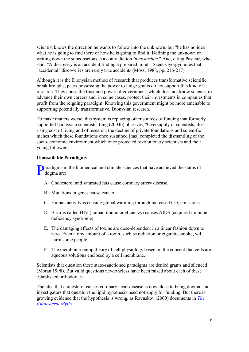scientist knows the direction he wants to follow into the unknown, but "he has no idea what he is going to find there or how he is going to find it. Defining the unknown or writing down the subconscious is a contradiction *in absurdum*." And, citing Pasteur, who said, "A discovery is an accident finding a prepared mind," Szent-Györgyi notes that "accidental" discoveries are rarely true accidents (Moss, 1988, pp. 216-217).

Although it is the Dionysian method of research that produces transformative scientific breakthroughs, peers possessing the power to judge grants do not support this kind of research. They abuse the trust and power of government, which does not know science, to advance their own careers and, in some cases, protect their investments in companies that profit from the reigning paradigm. Knowing this government might be more amenable to supporting potentially transformative, Dionysian research.

To make matters worse, this system is replacing other sources of funding that formerly supported Dionysian scientists. Ling (2004b) observes, "Oversupply of scientists, the rising cost of living and of research, the decline of private foundations and scientific niches which these foundations once sustained [has] completed the dismantling of the socio-economic environment which once protected revolutionary scientists and their young followers."

#### **Unassailable Paradigms**

**P**aradigms in the biomedical and climate sciences that have achieved the status of dogma are: dogma are:

- A. Cholesterol and saturated fats cause coronary artery disease.
- B. Mutations in genes cause cancer.
- C. Human activity is causing global warming through increased  $CO<sub>2</sub>$  emissions.
- D. A virus called HIV (human immunodeficiency) causes AIDS (acquired immune deficiency syndrome).
- E. The damaging effects of toxins are dose-dependent in a linear fashion down to zero. Even a tiny amount of a toxin, such as radiation or cigarette smoke, will harm some people.
- F. The membrane-pump theory of cell physiology based on the concept that cells are aqueous solutions enclosed by a cell membrane.

Scientists that question these state-sanctioned paradigms are denied grants and silenced (Moran 1998). But valid questions nevertheless have been raised about each of these established orthodoxies.

The idea that cholesterol causes coronary heart disease is now close to being dogma, and investigators that question the lipid hypothesis need not apply for funding. But there is growing evidence that the hypothesis is wrong, as Ravnskov (2000) documents in *The Cholesterol Myths*.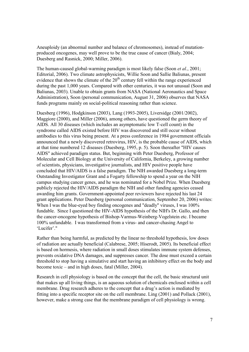Aneuploidy (an abnormal number and balance of chromosomes), instead of mutationproduced oncogenes, may well prove to be the true cause of cancer (Bialy, 2004; Duesberg and Rasnick, 2000; Miller, 2006).

The human-caused global-warming paradigm is most likely false (Soon *et al.*, 2001; Editorial, 2006). Two climate astrophysicists, Willie Soon and Sallie Baliunas, present evidence that shows the climate of the  $20<sup>th</sup>$  century fell within the range experienced during the past 1,000 years. Compared with other centuries, it was not unusual (Soon and Baliunas, 2003). Unable to obtain grants from NASA (National Aeronautics and Space Administration), Soon (personal communication, August 31, 2006) observes that NASA funds programs mainly on social-political reasoning rather than science.

Duesberg (1996), Hodgkinson (2003), Lang (1993-2005), Liversidge (2001/2002), Maggiore (2000), and Miller (2006), among others, have questioned the germ theory of AIDS. All 30 diseases (which includes an asymptomatic low T-cell count) in the syndrome called AIDS existed before HIV was discovered and still occur without antibodies to this virus being present. At a press conference in 1984 government officials announced that a newly discovered retrovirus, HIV, is the probable cause of AIDS, which at that time numbered 12 diseases (Duesberg, 1995, p. 5). Soon thereafter "HIV causes AIDS" achieved paradigm status. But, beginning with Peter Duesberg, Professor of Molecular and Cell Biology at the University of California, Berkeley, a growing number of scientists, physicians, investigative journalists, and HIV positive people have concluded that HIV/AIDS is a false paradigm. The NIH awarded Duesberg a long-term Outstanding Investigator Grant and a Fogarty fellowship to spend a year on the NIH campus studying cancer genes, and he was nominated for a Nobel Prize. When Duesberg publicly rejected the HIV/AIDS paradigm the NIH and other funding agencies ceased awarding him grants. Government-appointed peer reviewers have rejected his last 24 grant applications. Peter Duesberg (personal communication, September 20, 2006) writes: When I was the blue-eyed boy finding oncogenes and "deadly" viruses, I was  $100\%$ fundable. Since I questioned the HIV-AIDS hypothesis of the NIH's Dr. Gallo, and then the cancer-oncogene hypothesis of Bishop-Varmus-Weinberg-Vogelstein etc. I became 100% unfundable. I was transformed from a virus- and cancer-chasing Angel to 'Lucifer'."

Rather than being harmful, as predicted by the linear no threshold hypothesis, low doses of radiation are actually beneficial (Calabrese, 2005; Hiserodt, 2005). Its beneficial effect is based on hormesis, where radiation in small doses stimulates immune system defenses, prevents oxidative DNA damages, and suppresses cancer. The dose must exceed a certain threshold to stop having a simulative and start having an inhibitory effect on the body and become toxic – and in high doses, fatal (Miller, 2004).

Research in cell physiology is based on the concept that the cell, the basic structural unit that makes up all living things, is an aqueous solution of chemicals enclosed within a cell membrane. Drug research adheres to the concept that a drug's action is mediated by fitting into a specific receptor site on the cell membrane. Ling (2001) and Pollack (2001), however, make a strong case that the membrane paradigm of cell physiology is wrong.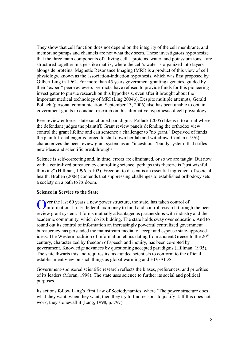They show that cell function does not depend on the integrity of the cell membrane, and membrane pumps and channels are not what they seem. These investigators hypothesize that the three main components of a living cell – proteins, water, and potassium ions – are structured together in a gel-like matrix, where the cell's water is organized into layers alongside proteins. Magnetic Resonance Imaging (MRI) is a product of this view of cell physiology, known as the association-induction hypothesis, which was first proposed by Gilbert Ling in 1962. For more than 45 years government granting agencies, guided by their "expert" peer-reviewers' verdicts, have refused to provide funds for this pioneering investigator to pursue research on this hypothesis, even after it brought about the important medical technology of MRI (Ling 2004b). Despite multiple attempts, Gerald Pollack (personal communication, September 13, 2006) also has been unable to obtain government grants to conduct research on this alternative hypothesis of cell physiology.

Peer review enforces state-sanctioned paradigms. Pollack (2005) likens it to a trial where the defendant judges the plaintiff. Grant review panels defending the orthodox view control the grant lifeline and can sentence a challenger to "no grant." Deprived of funds the plaintiff-challenger is forced to shut down her lab and withdraw. Conlan (1976) characterizes the peer-review grant system as an "incestuous 'buddy system' that stifles new ideas and scientific breakthroughs."

Science is self-correcting and, in time, errors are eliminated, or so we are taught. But now with a centralized bureaucracy controlling science, perhaps this rhetoric is "just wishful thinking" (Hillman, 1996, p.102). Freedom to dissent is an essential ingredient of societal health. Braben (2004) contends that suppressing challenges to established orthodoxy sets a society on a path to its doom.

#### **Science in Service to the State**

ver the last 60 years a new power structure, the state, has taken control of O ver the last 60 years a new power structure, the state, has taken control of information. It uses federal tax money to fund and control research through the peerreview grant system. It forms mutually advantageous partnerships with industry and the academic community, which do its bidding. The state holds sway over education. And to round out its control of information an increasingly powerful centralized government bureaucracy has persuaded the mainstream media to accept and espouse state-approved ideas. The Western tradition of information ethics dating from ancient Greece to the  $20<sup>th</sup>$ century, characterized by freedom of speech and inquiry, has been co-opted by government. Knowledge advances by questioning accepted paradigms (Hillman, 1995). The state thwarts this and requires its tax-funded scientists to conform to the official establishment view on such things as global warming and HIV/AIDS.

Government-sponsored scientific research reflects the biases, preferences, and priorities of its leaders (Moran, 1998). The state uses science to further its social and political purposes.

Its actions follow Lang's First Law of Sociodynamics, where "The power structure does what they want, when they want; then they try to find reasons to justify it. If this does not work, they stonewall it (Lang, 1998, p. 797).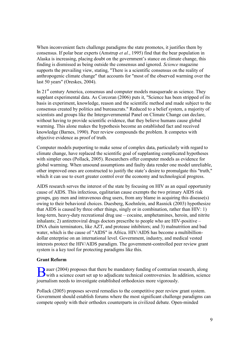When inconvenient facts challenge paradigms the state promotes, it justifies them by consensus. If polar bear experts (Amstrup *et al.*, 1995) find that the bear population in Alaska is increasing, placing doubt on the government's stance on climate change, this finding is dismissed as being outside the consensus and ignored. *Science* magazine supports the prevailing view, stating, "There is a scientific consensus on the reality of anthropogenic climate change" that accounts for "most of the observed warming over the last 50 years" (Oreskes, 2004).

In  $21<sup>st</sup>$  century America, consensus and computer models masquerade as science. They supplant experimental data. As Corcoran (2006) puts it, "Science has been stripped of its basis in experiment, knowledge, reason and the scientific method and made subject to the consensus created by politics and bureaucrats." Reduced to a belief system, a majority of scientists and groups like the Intergovernmental Panel on Climate Change can declare, without having to provide scientific evidence, that they believe humans cause global warming. This alone makes the hypothesis become an established fact and received knowledge (Barnes, 1990). Peer review compounds the problem. It competes with objective evidence as proof of truth.

Computer models purporting to make sense of complex data, particularly with regard to climate change, have replaced the scientific goal of supplanting complicated hypotheses with simpler ones (Pollack, 2005). Researchers offer computer models as evidence for global warming. When unsound assumptions and faulty data render one model unreliable, other improved ones are constructed to justify the state's desire to promulgate this "truth," which it can use to exert greater control over the economy and technological progress.

AIDS research serves the interest of the state by focusing on HIV as an equal opportunity cause of AIDS. This infectious, egalitarian cause exempts the two primary AIDS risk groups, gay men and intravenous drug users, from any blame in acquiring this disease(s) owing to their behavioral choices. Duesberg, Koehnlein, and Rasnick (2003) hypothesize that AIDS is caused by three other things, singly or in combination, rather than HIV: 1) long-term, heavy-duty recreational drug use – cocaine, amphetamines, heroin, and nitrite inhalants; 2) antiretroviral drugs doctors prescribe to people who are HIV-positive – DNA chain terminators, like AZT, and protease inhibitors; and 3) malnutrition and bad water, which is the cause of "AIDS" in Africa. HIV/AIDS has become a multibilliondollar enterprise on an international level. Government, industry, and medical vested interests protect the HIV/AIDS paradigm. The government-controlled peer review grant system is a key tool for protecting paradigms like this.

#### **Grant Reform**

auer (2004) proposes that there be mandatory funding of contrarian research, along B auer (2004) proposes that there be mandatory funding of contrarian research, along<br>with a science court set up to adjudicate technical controversies. In addition, science journalism needs to investigate established orthodoxies more vigorously.

Pollack (2005) proposes several remedies to the competitive peer review grant system. Government should establish forums where the most significant challenge paradigms can compete openly with their orthodox counterparts in civilized debate. Open-minded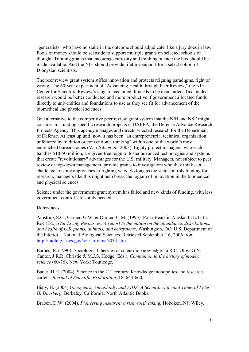"generalists" who have no stake in the outcome should adjudicate, like a jury does in law. Pools of money should be set aside to support multiple grants on selected schools of thought. Training grants that encourage curiosity and thinking outside the box should be made available. And the NIH should provide lifetime support for a select cohort of Dionysian scientists.

The peer review grant system stifles innovation and protects reigning paradigms, right or wrong. The 60-year experiment of "Advancing Health through Peer Review," the NIH Center for Scientific Review's slogan, has failed. It needs to be dismantled. Tax-funded research would be better conducted and more productive if government allocated funds directly to universities and foundations to use as they see fit for advancement of the biomedical and physical sciences.

One alternative to the competitive peer review grant system that the NIH and NSF might consider for funding specific research projects is DARPA, the Defense Advance Research Projects Agency. This agency manages and directs selected research for the Department of Defense. At least up until now it has been "an entrepreneurial technical organization unfettered by tradition or conventional thinking" within one of the world's most entrenched bureaucracies (Van Atta *et al.*, 2003). Eighty project managers, who each handles \$10-50 million, are given free reign to foster advanced technologies and systems that create "revolutionary" advantages for the U.S. military. Managers, not subject to peer review or top-down management, provide grants to investigators who they think can challenge existing approaches to fighting wars. So long as the state controls funding for research, managers like this might help break the logjam of innovation in the biomedical and physical sciences.

Science under the government grant system has failed and new kinds of funding, with less government control, are sorely needed.

#### **References**

Amstrup, S.C., Garner, G.W. & Durner, G.M. (1995). Polar Bears in Alaska. In E.T. La Roe (Ed.), *Our Living Resources: A report to the nation on the abundance, distributions, and health of U.S. plants, animals, and ecosystems*. Washington, DC: U.S. Department of the Interior – National Biological Sciences. Retrieved September, 16, 2006 from http://biology.usgs.gov/s+t/noframe/s034.htm

Barnes, B. (1990). Sociological theories of scientific knowledge. In R.C. Olby, G.N. Cantor, J.R.R. Christie & M.J.S. Hodge (Eds.), *Companion to the history of modern science* (60-76). New York: Toutledge.

Bauer, H.H. (2004). Science in the  $21<sup>st</sup>$  century: Knowledge monopolies and research cartels. *Journal of Scientific Exploration*, 18, 643-660,

Bialy, H. (2004) *Oncogenes, Aneuploidy, and AIDS: A Scientific Life and Times of Peter H. Duesberg*. Berkeley, California: North Atlantic Books.

Braben, D.W. (2004). *Pioneering research: a risk worth taking.* Hoboken, NJ: Wiley.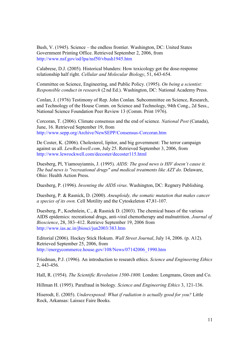Bush, V. (1945). Science – the endless frontier. Washington, DC: United States Government Printing Office. Retrieved September 2, 2006, from http://www.nsf.gov/od/lpa/nsf50/vbush1945.htm

Calabrese, D.J. (2005). Historical blunders: How toxicology got the dose-response relationship half right. *Cellular and Molecular Biology*, 51, 643-654.

Committee on Science, Engineering, and Public Policy. (1995). *On being a scientist: Responsible conduct in research* (2 nd Ed.). Washington, DC: National Academy Press.

Conlan, J. (1976) Testimony of Rep. John Conlan. Subcommittee on Science, Research, and Technology of the House Comm. on Science and Technology, 94th Cong., 2d Sess., National Science Foundation Peer Review 13 (Comm. Print 1976).

Corcoran, T. (2006). Climate consensus and the end of science. *National Post* (Canada), June, 16. Retrieved September 19, from http://www.sepp.org/Archive/NewSEPP/Consensus-Corcoran.htm

De Coster, K. (2006). Cholesterol, lipitor, and big government: The terror campaign against us all. *LewRockwell.com*, July 25. Retrieved September 3, 2006, from http://www.lewrockwell.com/decoster/decoster115.html

Duesberg, Pl, Yiamouyiannis, J. (1995). *AIDS: The good news is HIV doesn't cause it. The bad news is "recreational drugs" and medical treatments like AZT do.* Delaware, Ohio: Health Action Press.

Duesberg, P. (1996). *Inventing the AIDS virus*. Washington, DC: Regnery Publishing.

Duesberg, P. & Rasnick, D. (2000). *Aneuploidy, the somatic mutation that makes cancer a species of its own.* Cell Motility and the Cytoskeleton 47,81-107.

Duesberg, P., Koehnlein, C., & Rasnick D. (2003). The chemical bases of the various AIDS epidemics: recreational drugs, anti-viral chemotherapy and malnutrition. *Journal of Bioscience*, 28, 383–412. Retrieve September 19, 2006 from http://www.ias.ac.in/jbiosci/jun2003/383.htm

Editorial (2006). Hockey Stick Hokum. *Wall Street Journal*, July 14, 2006. (p. A12). Retrieved September 25, 2006, from http://energycommerce.house.gov/108/News/07142006\_1990.htm

Friedman, P.J. (1996). An introduction to research ethics. *Science and Engineering Ethics* 2, 443-456.

Hall, R. (1954). *The Scientific Revolution 1500-1800.* London: Longmans, Green and Co.

Hillman H. (1995). Parafraud in biology. *Science and Engineering Ethics* 3, 121-136.

Hiserodt, E. (2005). *Underexposed: What if radiation is actually good for you?* Little Rock, Arkansas: Laissez Faire Books.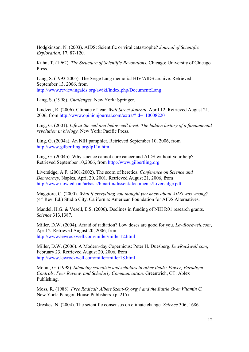Hodgkinson, N. (2003). AIDS: Scientific or viral catastrophe? *Journal of Scientific Exploration*, 17, 87-120.

Kuhn, T. (1962). *The Structure of Scientific Revolutions.* Chicago: University of Chicago Press.

Lang, S. (1993-2005). The Serge Lang memorial HIV/AIDS archive. Retrieved September 13, 2006, from http://www.reviewingaids.org/awiki/index.php/Document:Lang

Lang, S. (1998). *Challenges.* New York: Springer.

Lindzen, R. (2006). Climate of fear. *Wall Street Journal*, April 12. Retrieved August 21, 2006, from http://www.opinionjournal.com/extra/?id=110008220

Ling, G. (2001). *Life at the cell and below-cell level: The hidden history of a fundamental revolution in biology.* New York: Pacific Press.

Ling, G. (2004a). An NIH pamphlet. Retrieved September 10, 2006, from http://www.gilbertling.org/lp11a.htm

Ling, G. (2004b). Why science cannot cure cancer and AIDS without your help? Retrieved September 10,2006, from http://www.gilbertling.org

Liversidge, A.F. (2001/2002). The scorn of heretics. *Conference on Science and Democracy*, Naples, April 20, 2001. Retrieved August 21, 2006, from http://www.uow.edu.au/arts/sts/bmartin/dissent/documents/Liversidge.pdf

Maggiore, C. (2000). *What if everything you thought you knew about AIDS was wrong?* (4th Rev. Ed.) Studio City, California: American Foundation for AIDS Alternatives.

Mandel, H.G. & Vesell, E.S. (2006). Declines in funding of NIH R01 research grants. *Science* 313,1387.

Miller, D.W. (2004). Afraid of radiation? Low doses are good for you. *LewRockwell.com*, April 2. Retrieved August 20, 2006, from http://www.lewrockwell.com/miller/miller12.html

Miller, D.W. (2006). A Modern-day Copernicus: Peter H. Duesberg. *LewRockwell.com*, February 23. Retrieved August 20, 2006, from http://www.lewrockwell.com/miller/miller18.html

Moran, G. (1998). *Silencing scientists and scholars in other fields: Power, Paradigm Controls, Peer Review, and Scholarly Communication.* Greenwich, CT: Ablex Publishing.

Moss, R. (1988). *Free Radical: Albert Szent-Gyorgyi and the Battle Over Vitamin C.* New York: Paragon House Publishers. (p. 215).

Oreskes, N. (2004). The scientific consensus on climate change. *Science* 306, 1686.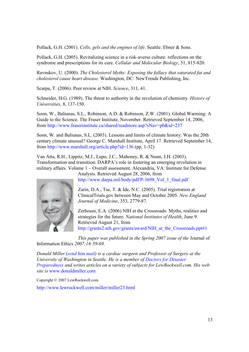Pollack, G.H. (2001). *Cells, gels and the engines of life*. Seattle: Ebner & Sons.

Pollack, G.H. (2005). Revitalizing science in a risk-averse culture: reflections on the syndrome and prescriptions for its cure. *Cellular and Molecular Biology*, 51, 815-820.

Ravnskov, U. (2000). *The Cholesterol Myths: Exposing the fallacy that saturated fat and cholesterol cause heart disease.* Washington, DC: NewTrends Publishing, Inc.

Scarpa, T. (2006). Peer review at NIH. *Science*, 311, 41.

Schneider, H.G. (1989). The threat to authority in the revolution of chemistry. *History of Universities*, 8, 137-150.

Soon, W., Baliunas, S.L., Robinson, A.D. & Robinson, Z.W. (2001). Global Warming: A Guide to the Science. The Fraser Institute, November. Retrieved September 14, 2006, from http://www.fraserinstitute.ca/shared/readmore.asp?sNav=pb&id=237

Soon, W. and Baliunas, S.L. (2003). Lessons and limits of climate history: Was the 20th century climate unusual? George C. Marshall Institute, April 17. Retrieved September 14, from http://www.marshall.org/article.php?id=136 (pp. 1-32)

Van Atta, R.H., Lippitz, M.J., Lupo, J.C., Mahoney, R. & Nunn, J.H. (2003). Transformation and transition: DARPA's role in fostering an emerging revolution in military affairs. Volume 1 – Overall assessment. Alexandria, VA: Institute for Defense



Analysis. Retrieved August 28, 2006, from http://www.darpa.mil/body/pdf/P-3698 Vol 1 final.pdf

Zarin, D.A., Tse, T. & Ide, N.C. (2005). Trial registration at ClinicalTrials.gov between May and October 2005. *New England Journal of Medicine*, 353, 2779-87.

Zerhouni, E.A. (2006) NIH at the Crossroads: Myths, realities and strategies for the future. *National Institutes of Health*, June 9. Retrieved August 21, from http://grants2.nih.gov/grants/award/NIH\_at\_the\_Crossroads.ppt#1

*This paper was published in the Spring 2007 issue of the* Journal of Information Ethics *2007;16:59-69.*

*Donald Miller* (*send him mail) is a cardiac surgeon and Professor of Surgery at the University of Washington in Seattle. He is a member of Doctors for Disaster Preparedness and writes articles on a variety of subjects for LewRockwell.com. His web site is* www.donaldmiller.com

Copyright © 2007 LewRockwell.com

http://www.lewrockwell.com/miller/miller23.html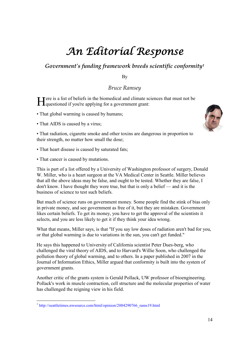# An Editorial Response

### *Government's funding framework breeds scientific conformity<sup>1</sup>*

By

### *Bruce Ramsey*

Tere is a list of beliefs in the biomedical and climate sciences that must not be Here is a list of beliefs in the biomedical and climate sc<br>questioned if you're applying for a government grant:

- That global warming is caused by humans;
- That AIDS is caused by a virus;



• That radiation, cigarette smoke and other toxins are dangerous in proportion to their strength, no matter how small the dose;

- That heart disease is caused by saturated fats;
- That cancer is caused by mutations.

This is part of a list offered by a University of Washington professor of surgery, Donald W. Miller, who is a heart surgeon at the VA Medical Center in Seattle. Miller believes that all the above ideas may be false, and ought to be tested. Whether they are false, I don't know. I have thought they were true, but that is only a belief — and it is the business of science to test such beliefs.

But much of science runs on government money. Some people find the stink of bias only in private money, and see government as free of it, but they are mistaken. Government likes certain beliefs. To get its money, you have to get the approval of the scientists it selects, and you are less likely to get it if they think your idea wrong.

What that means, Miller says, is that "If you say low doses of radiation aren't bad for you, or that global warming is due to variations in the sun, you can't get funded."

He says this happened to University of California scientist Peter Dues-berg, who challenged the viral theory of AIDS, and to Harvard's Willie Soon, who challenged the pollution theory of global warming, and to others. In a paper published in 2007 in the Journal of Information Ethics, Miller argued that conformity is built into the system of government grants.

Another critic of the grants system is Gerald Pollack, UW professor of bioengineering. Pollack's work in muscle contraction, cell structure and the molecular properties of water has challenged the reigning view in his field.

<sup>&</sup>lt;sup>1</sup> http://seattletimes.nwsource.com/html/opinion/2004290766\_rams19.html